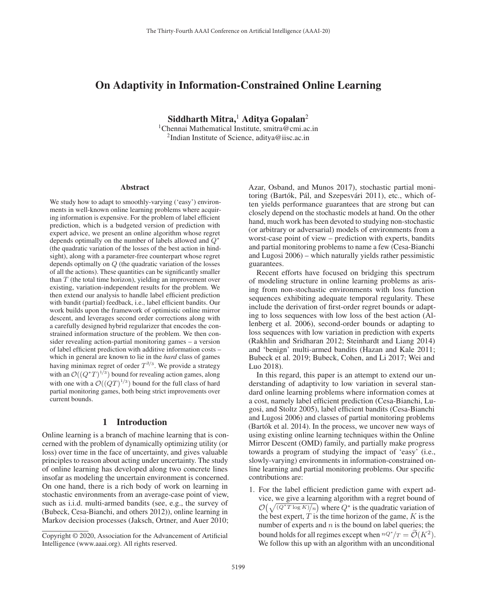# On Adaptivity in Information-Constrained Online Learning

Siddharth Mitra,<sup>1</sup> Aditya Gopalan<sup>2</sup>

1Chennai Mathematical Institute, smitra@cmi.ac.in <sup>2</sup>Indian Institute of Science, aditya@iisc.ac.in

#### **Abstract**

We study how to adapt to smoothly-varying ('easy') environments in well-known online learning problems where acquiring information is expensive. For the problem of label efficient prediction, which is a budgeted version of prediction with expert advice, we present an online algorithm whose regret depends optimally on the number of labels allowed and Q<sup>∗</sup> (the quadratic variation of the losses of the best action in hindsight), along with a parameter-free counterpart whose regret depends optimally on Q (the quadratic variation of the losses of all the actions). These quantities can be significantly smaller than  $T$  (the total time horizon), yielding an improvement over existing, variation-independent results for the problem. We then extend our analysis to handle label efficient prediction with bandit (partial) feedback, i.e., label efficient bandits. Our work builds upon the framework of optimistic online mirror descent, and leverages second order corrections along with a carefully designed hybrid regularizer that encodes the constrained information structure of the problem. We then consider revealing action-partial monitoring games – a version of label efficient prediction with additive information costs – which in general are known to lie in the *hard* class of games having minimax regret of order  $T^{2/3}$ . We provide a strategy with an  $\mathcal{O}((Q^*T)^{1/3})$  bound for revealing action games, along with one with a  $\mathcal{O}((QT)^{1/3})$  bound for the full class of hard partial monitoring games, both being strict improvements over current bounds.

### 1 Introduction

Online learning is a branch of machine learning that is concerned with the problem of dynamically optimizing utility (or loss) over time in the face of uncertainty, and gives valuable principles to reason about acting under uncertainty. The study of online learning has developed along two concrete lines insofar as modeling the uncertain environment is concerned. On one hand, there is a rich body of work on learning in stochastic environments from an average-case point of view, such as i.i.d. multi-armed bandits (see, e.g., the survey of (Bubeck, Cesa-Bianchi, and others 2012)), online learning in Markov decision processes (Jaksch, Ortner, and Auer 2010; Azar, Osband, and Munos 2017), stochastic partial monitoring (Bartók, Pál, and Szepesvári 2011), etc., which often yields performance guarantees that are strong but can closely depend on the stochastic models at hand. On the other hand, much work has been devoted to studying non-stochastic (or arbitrary or adversarial) models of environments from a worst-case point of view – prediction with experts, bandits and partial monitoring problems to name a few (Cesa-Bianchi and Lugosi 2006) – which naturally yields rather pessimistic guarantees.

Recent efforts have focused on bridging this spectrum of modeling structure in online learning problems as arising from non-stochastic environments with loss function sequences exhibiting adequate temporal regularity. These include the derivation of first-order regret bounds or adapting to loss sequences with low loss of the best action (Allenberg et al. 2006), second-order bounds or adapting to loss sequences with low variation in prediction with experts (Rakhlin and Sridharan 2012; Steinhardt and Liang 2014) and 'benign' multi-armed bandits (Hazan and Kale 2011; Bubeck et al. 2019; Bubeck, Cohen, and Li 2017; Wei and Luo 2018).

In this regard, this paper is an attempt to extend our understanding of adaptivity to low variation in several standard online learning problems where information comes at a cost, namely label efficient prediction (Cesa-Bianchi, Lugosi, and Stoltz 2005), label efficient bandits (Cesa-Bianchi and Lugosi 2006) and classes of partial monitoring problems (Bartók et al.  $2014$ ). In the process, we uncover new ways of using existing online learning techniques within the Online Mirror Descent (OMD) family, and partially make progress towards a program of studying the impact of 'easy' (i.e., slowly-varying) environments in information-constrained online learning and partial monitoring problems. Our specific contributions are:

1. For the label efficient prediction game with expert advice, we give a learning algorithm with a regret bound of  $\mathcal{O}(\sqrt{(Q^*T \log K)/n})$  where  $Q^*$  is the quadratic variation of the best expert,  $T$  is the time horizon of the game,  $K$  is the number of experts and  $n$  is the bound on label queries; the bound holds for all regimes except when  $nQ^*/T = \widetilde{\mathcal{O}}(K^2)$ .<br>We follow this un with an algorithm with an unconditional We follow this up with an algorithm with an unconditional

Copyright © 2020, Association for the Advancement of Artificial Intelligence (www.aaai.org). All rights reserved.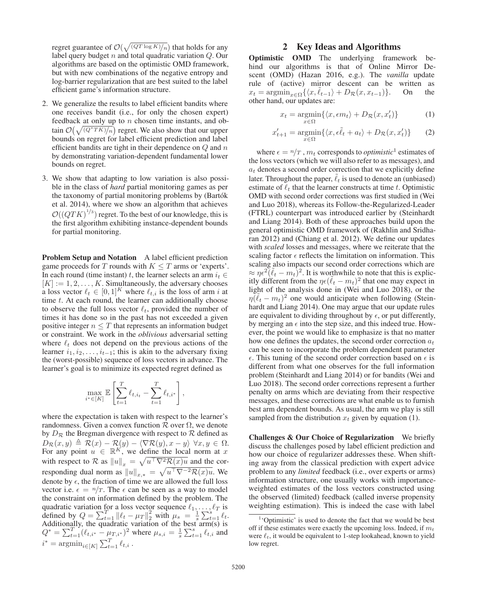regret guarantee of  $\mathcal{O}(\sqrt{(QT\log K)/n})$  that holds for any label query budget n and total quadratic variation O Our label query budget  $n$  and total quadratic variation  $Q$ . Our algorithms are based on the optimistic OMD framework, but with new combinations of the negative entropy and log-barrier regularization that are best suited to the label efficient game's information structure.

- 2. We generalize the results to label efficient bandits where one receives bandit (i.e., for only the chosen expert) feedback at only up to  $n$  chosen time instants, and obtain  $\mathcal{O}(\sqrt{(Q^*TK)/n})$  regret. We also show that our upper bounds on regret for label efficient prediction and label efficient bandits are tight in their dependence on  $Q$  and  $n$ by demonstrating variation-dependent fundamental lower bounds on regret.
- 3. We show that adapting to low variation is also possible in the class of *hard* partial monitoring games as per the taxonomy of partial monitoring problems by (Bartók et al. 2014), where we show an algorithm that achieves  $\mathcal{O}(\left(QTK\right)^{1/3})$ <br>the first algor  $\mathcal{O}((QTK)^{1/3})$  regret. To the best of our knowledge, this is the first algorithm exhibiting instance-dependent bounds for partial monitoring.

Problem Setup and Notation A label efficient prediction game proceeds for T rounds with  $K \leq T$  arms or 'experts'. In each round (time instant) t, the learner selects an arm  $i_t \in$  $[K] := 1, 2, \ldots, K$ . Simultaneously, the adversary chooses a loss vector  $\ell_t \in [0,1]^K$  where  $\ell_{t,i}$  is the loss of arm i at time t. At each round, the learner can additionally choose time  $t$ . At each round, the learner can additionally choose to observe the full loss vector  $\ell_t$ , provided the number of times it has done so in the past has not exceeded a given positive integer  $n \leq T$  that represents an information budget or constraint. We work in the *oblivious* adversarial setting where  $\ell_t$  does not depend on the previous actions of the learner  $i_1, i_2, \ldots, i_{t-1}$ ; this is akin to the adversary fixing the (worst-possible) sequence of loss vectors in advance. The learner's goal is to minimize its expected regret defined as

$$
\max_{i^* \in [K]} \mathbb{E} \left[ \sum_{t=1}^T \ell_{t,i_t} - \sum_{t=1}^T \ell_{t,i^*} \right],
$$

where the expectation is taken with respect to the learner's randomness. Given a convex function  $\mathcal R$  over  $\Omega$ , we denote by  $D_{\mathcal{R}}$  the Bregman divergence with respect to  $\mathcal R$  defined as  $D_{\mathcal{R}}(x, y) \triangleq \mathcal{R}(x) - \mathcal{R}(y) - \langle \nabla \mathcal{R}(y), x - y \rangle \ \forall x, y \in \Omega$ .<br>For any point  $u \in \mathbb{R}^K$ , we define the local norm at x with respect to R as  $||u||_x = \sqrt{u^{\top} \nabla^2 R(x) u}$  and the corresponding dual norm as  $||u||_x = \sqrt{u^{\top} \nabla^2 R(x) u}$ . We responding dual norm as  $||u||_{x,*} = \sqrt{u^{\top} \nabla^{-2} \mathcal{R}(x) u}$ . We denote by  $\epsilon$ , the fraction of time we are allowed the full loss vector i.e.  $\epsilon = n/T$ . The  $\epsilon$  can be seen as a way to model the constraint on information defined by the problem. The quadratic variation for a loss vector sequence  $\ell_1, \ldots, \ell_T$  is<br>defined by  $Q = \sum_{t=1}^T \|\ell_t - \mu_T\|_2^2$  with  $\mu_s = \frac{1}{s} \sum_{t=1}^s \ell_t$ .<br>Additionally the quadratic variation of the best arm(s) is Additionally, the quadratic variation of the best arm(s) is<br>  $Q^* = \sum_{t=1}^T (\ell_{t,i^*} - \mu_{T,i^*})^2$  where  $\mu_{s,i} = \frac{1}{s} \sum_{t=1}^s \ell_{t,i}$  and  $i^* = \operatorname{argmin}_{i \in [K]} \sum_{t=1}^T \ell_{t,i}.$ 

#### 2 Key Ideas and Algorithms

Optimistic OMD The underlying framework behind our algorithms is that of Online Mirror Descent (OMD) (Hazan 2016, e.g.). The *vanilla* update rule of (active) mirror descent can be written as  $x_t = \operatorname{argmin}_{x \in \Omega} \{ \langle x, \tilde{\ell}_{t-1} \rangle + D_{\mathcal{R}}(x, x_{t-1}) \}.$  On the other hand our undates are: other hand, our updates are:

$$
x_t = \underset{x \in \Omega}{\operatorname{argmin}} \{ \langle x, \epsilon m_t \rangle + D_{\mathcal{R}}(x, x'_t) \} \tag{1}
$$

$$
x'_{t+1} = \underset{x \in \Omega}{\operatorname{argmin}} \{ \langle x, \epsilon \tilde{\ell}_t + a_t \rangle + D_{\mathcal{R}}(x, x'_t) \} \tag{2}
$$

where  $\epsilon = n/T$ ,  $m_t$  corresponds to *optimistic*<sup>1</sup> estimates of the loss vectors (which we will also refer to as messages), and  $a_t$  denotes a second order correction that we explicitly define later. Throughout the paper,  $\tilde{\ell}_t$  is used to denote an (unbiased) estimate of  $\ell_t$  that the learner constructs at time t. Optimistic OMD with second order corrections was first studied in (Wei and Luo 2018), whereas its Follow-the-Regularized-Leader (FTRL) counterpart was introduced earlier by (Steinhardt and Liang 2014). Both of these approaches build upon the general optimistic OMD framework of (Rakhlin and Sridharan 2012) and (Chiang et al. 2012). We define our updates with *scaled* losses and messages, where we reiterate that the scaling factor  $\epsilon$  reflects the limitation on information. This scaling also impacts our second order corrections which are  $\approx \eta \epsilon^2 (\tilde{\ell}_t - m_t)^2$ . It is worthwhile to note that this is explicitly different from the  $n\epsilon (\tilde{\ell}_t - m_t)^2$  that one may expect in itly different from the  $\eta \epsilon (\tilde{\ell}_t - m_t)^2$  that one may expect in light of the analysis done in (Wei and Luo 2018) or the light of the analysis done in (Wei and Luo 2018), or the  $\eta(\tilde{\ell}_t - m_t)^2$  one would anticipate when following (Stein-<br>hardt and Liang 2014). One may argue that our undate rules hardt and Liang 2014). One may argue that our update rules are equivalent to dividing throughout by  $\epsilon$ , or put differently, by merging an  $\epsilon$  into the step size, and this indeed true. However, the point we would like to emphasize is that no matter how one defines the updates, the second order correction  $a_t$ can be seen to incorporate the problem dependent parameter  $\epsilon$ . This tuning of the second order correction based on  $\epsilon$  is different from what one observes for the full information problem (Steinhardt and Liang 2014) or for bandits (Wei and Luo 2018). The second order corrections represent a further penalty on arms which are deviating from their respective messages, and these corrections are what enable us to furnish best arm dependent bounds. As usual, the arm we play is still sampled from the distribution  $x_t$  given by equation (1).

Challenges & Our Choice of Regularization We briefly discuss the challenges posed by label efficient prediction and how our choice of regularizer addresses these. When shifting away from the classical prediction with expert advice problem to any *limited* feedback (i.e., over experts or arms) information structure, one usually works with importanceweighted estimates of the loss vectors constructed using the observed (limited) feedback (called inverse propensity weighting estimation). This is indeed the case with label

<sup>&</sup>lt;sup>1</sup>'Optimistic' is used to denote the fact that we would be best off if these estimates were exactly the upcoming loss. Indeed, if  $m_t$ were  $\ell_t$ , it would be equivalent to 1-step lookahead, known to yield low regret.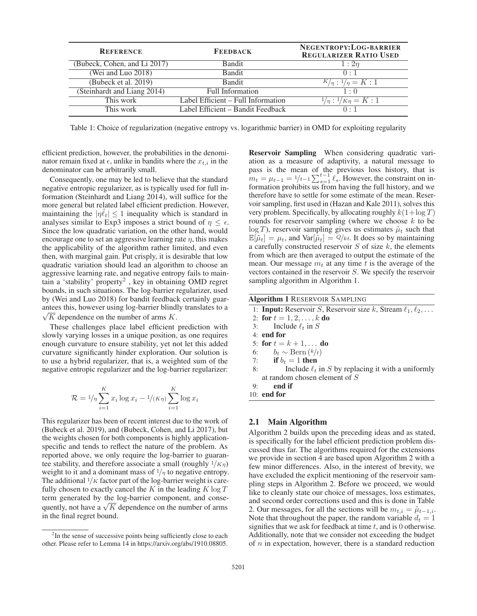| <b>REFERENCE</b>             | <b>FEEDBACK</b>                    | NEGENTROPY: LOG-BARRIER<br><b>REGULARIZER RATIO USED</b> |
|------------------------------|------------------------------------|----------------------------------------------------------|
| (Bubeck, Cohen, and Li 2017) | <b>Bandit</b>                      | 1:2n                                                     |
| (Wei and Luo 2018)           | Bandit                             | 0:1                                                      |
| (Bubeck et al. 2019)         | <b>Bandit</b>                      | $K/\eta : 1/\eta = K : 1$                                |
| (Steinhardt and Liang 2014)  | <b>Full Information</b>            | 1:0                                                      |
| This work                    | Label Efficient – Full Information | $1/\eta : 1/K\eta = K : 1$                               |
| This work                    | Label Efficient – Bandit Feedback  | $() \cdot 1$                                             |

Table 1: Choice of regularization (negative entropy vs. logarithmic barrier) in OMD for exploiting regularity

efficient prediction, however, the probabilities in the denominator remain fixed at  $\epsilon$ , unlike in bandits where the  $x_{t,i}$  in the denominator can be arbitrarily small.

Consequently, one may be led to believe that the standard negative entropic regularizer, as is typically used for full information (Steinhardt and Liang 2014), will suffice for the more general but related label efficient prediction. However, maintaining the  $|\eta \tilde{\ell}_t| \leq 1$  inequality which is standard in analyses similar to Exp3 imposes a strict bound of  $n \leq \epsilon$ analyses similar to Exp3 imposes a strict bound of  $\eta \leq \epsilon$ . Since the low quadratic variation, on the other hand, would encourage one to set an aggressive learning rate  $\eta$ , this makes the applicability of the algorithm rather limited, and even then, with marginal gain. Put crisply, it is desirable that low quadratic variation should lead an algorithm to choose an aggressive learning rate, and negative entropy fails to maintain a 'stability' property<sup>2</sup>, key in obtaining OMD regret bounds, in such situations. The log-barrier regularizer, used by (Wei and Luo 2018) for bandit feedback certainly guarantees this, however using log-barrier blindly translates to a  $\sqrt{K}$  dependence on the number of arms K.

These challenges place label efficient prediction with slowly varying losses in a unique position, as one requires enough curvature to ensure stability, yet not let this added curvature significantly hinder exploration. Our solution is to use a hybrid regularizer, that is, a weighted sum of the negative entropic regularizer and the log-barrier regularizer:

$$
\mathcal{R} = 1/\eta \sum_{i=1}^{K} x_i \log x_i - 1/(K\eta) \sum_{i=1}^{K} \log x_i
$$

This regularizer has been of recent interest due to the work of (Bubeck et al. 2019), and (Bubeck, Cohen, and Li 2017), but the weights chosen for both components is highly applicationspecific and tends to reflect the nature of the problem. As reported above, we only require the log-barrier to guarantee stability, and therefore associate a small (roughly  $1/K<sub>\eta</sub>$ ) weight to it and a dominant mass of  $1/\eta$  to negative entropy. The additional  $1/K$  factor part of the log-barrier weight is carefully chosen to exactly cancel the K in the leading  $K \log T$ term generated by the log-barrier component, and conseerm generated by the log-barrier component, and consequently, not have a  $\sqrt{K}$  dependence on the number of arms in the final regret bound.

Reservoir Sampling When considering quadratic variation as a measure of adaptivity, a natural message to pass is the mean of the previous loss history, that is  $m_t = \mu_{t-1} = 1/t-1 \sum_{s=1}^{t-1} \ell_s$ . However, the constraint on in-<br>formation prohibits us from having the full history and we formation prohibits us from having the full history, and we therefore have to settle for some estimate of the mean. Reservoir sampling, first used in (Hazan and Kale 2011), solves this very problem. Specifically, by allocating roughly  $k(1+\log T)$ rounds for reservoir sampling (where we choose  $k$  to be  $\log T$ ), reservoir sampling gives us estimates  $\tilde{\mu}_t$  such that  $\mathbb{E}[\tilde{\mu}_t] = \mu_t$ , and  $\text{Var}[\tilde{\mu}_t] = \frac{Q}{kt}$ . It does so by maintaining a carefully constructed reservoir  $S$  of size  $k$ , the elements from which are then averaged to output the estimate of the mean. Our message  $m_t$  at any time t is the average of the vectors contained in the reservoir S. We specify the reservoir sampling algorithm in Algorithm 1.

Algorithm 1 RESERVOIR SAMPLING

- 1: **Input:** Reservoir *S*, Reservoir size *k*, Stream  $\ell_1, \ell_2, \ldots$ <br>2. for  $t = 1, 2, \ldots$  *k* do.
- 2: for  $t = 1, 2, ..., k$  do<br>3: Include  $\ell_{\pm}$  in S
- 3: Include  $\ell_t$  in S
- 4: end for
- 5: **for**  $t = k + 1, ...$  **do**<br>6:  $b_t \sim \text{Bern}(k/t)$
- 6:  $b_t \sim \text{Bern}(k/t)$ <br>7: **if**  $b_t = 1$  **then**
- 7: **if**  $b_t = 1$  **then**<br>8: **Include**  $\ell_t$
- 8: Include  $\ell_t$  in S by replacing it with a uniformly at random chosen element of S
- 9: end if
- 10: end for

### 2.1 Main Algorithm

Algorithm 2 builds upon the preceding ideas and as stated, is specifically for the label efficient prediction problem discussed thus far. The algorithms required for the extensions we provide in section 4 are based upon Algorithm 2 with a few minor differences. Also, in the interest of brevity, we have excluded the explicit mentioning of the reservoir sampling steps in Algorithm 2. Before we proceed, we would like to cleanly state our choice of messages, loss estimates, and second order corrections used and this is done in Table 2. Our messages, for all the sections will be  $m_{t,i} = \tilde{\mu}_{t-1,i}$ . Note that throughout the paper, the random variable  $d_t = 1$ signifies that we ask for feedback at time  $t$ , and is 0 otherwise. Additionally, note that we consider not exceeding the budget of  $n$  in expectation, however, there is a standard reduction

<sup>&</sup>lt;sup>2</sup>In the sense of successive points being sufficiently close to each other. Please refer to Lemma 14 in https://arxiv.org/abs/1910.08805.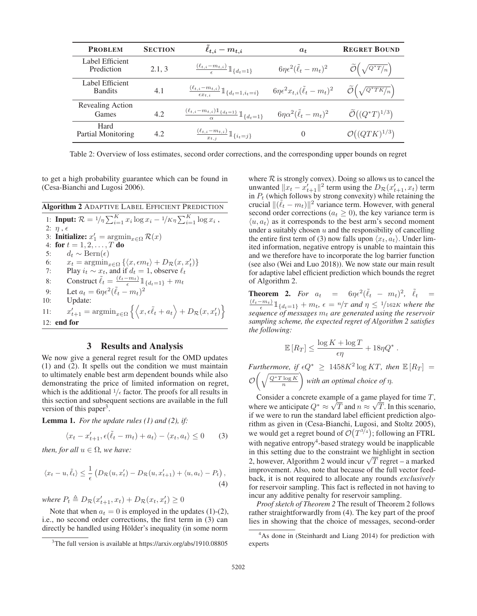| <b>PROBLEM</b>                    | <b>SECTION</b> | $\ell_{t,i} - m_{t,i}$                                                            | $a_t$                                           | <b>REGRET BOUND</b>                                  |
|-----------------------------------|----------------|-----------------------------------------------------------------------------------|-------------------------------------------------|------------------------------------------------------|
| Label Efficient<br>Prediction     | 2.1, 3         | $\frac{(\ell_{t,i}-m_{t,i})}{\epsilon} 1\!\downarrow_{d_t=1}$                     | $6\eta\epsilon^2(\tilde{\ell}_t-m_t)^2$         | $\widetilde{\mathcal{O}}\left(\sqrt{Q^*T/n}\right)$  |
| Label Efficient<br><b>Bandits</b> | 4.1            | $\frac{(\ell_{t,i}-m_{t,i})}{\epsilon x_{t,i}} 1\!\!1_{\{d_t=1,i_t=i\}}$          | $6\eta\epsilon^2 x_{t,i}(\tilde{\ell}_t-m_t)^2$ | $\widetilde{\mathcal{O}}\left(\sqrt{Q^*TK/n}\right)$ |
| Revealing Action<br>Games         | 4.2            | $\frac{(\ell_{t,i}-m_{t,i})\mathbb{1}_{\{d_t=1\}}}{\alpha}\mathbb{1}_{\{d_t=1\}}$ | $6\eta\alpha^2(\tilde{\ell}_t-m_t)^2$           | $\widetilde{\mathcal{O}}((Q^*T)^{1/3})$              |
| Hard<br>Partial Monitoring        | 4.2            | $\frac{(\ell_{t,i}-m_{t,i})}{x_{t,j}}1\!\!1_{\{i_t=j\}}$                          | $\Omega$                                        | $\mathcal{O}((QTK)^{1/3})$                           |

Table 2: Overview of loss estimates, second order corrections, and the corresponding upper bounds on regret

to get a high probability guarantee which can be found in (Cesa-Bianchi and Lugosi 2006).

Algorithm 2 ADAPTIVE LABEL EFFICIENT PREDICTION

1: **Input:**  $\mathcal{R} = 1/\eta \sum_{i=1}^K x_i \log x_i - 1/K\eta \sum_{i=1}^K \log x_i$ , 2:  $\eta$ ,  $\epsilon$ 3: **Initialize:**  $x'_1 = \operatorname{argmin}_{x \in \Omega} \mathcal{R}(x)$ <br>4. for  $t = 1, 2, \ldots, T$  do 4: for  $t = 1, 2, \ldots, T$  do<br>5.  $d_t \sim \text{Bern}(\epsilon)$ 5:  $d_t \sim \text{Bern}(\epsilon)$ <br>6:  $x_t = \text{armin}$ 6:  $x_t = \operatorname{argmin}_{x \in \Omega} \left\{ \langle x, \epsilon m_t \rangle + D_{\mathcal{R}}(x, x_t') \right\}$ <br>7. Play  $i_t \sim x_t$  and if  $d_t = 1$  observe  $\ell_t$ 7: Play  $i_t \sim x_t$ , and if  $d_t = 1$ , observe  $\ell_t$ 8: Construct  $\tilde{\ell}_t = \frac{(\ell_t - m_t)}{\epsilon} \mathbb{1}_{\{d_t = 1\}} + m_t$ 9: Let  $a_t = 6\eta \epsilon^2 (\tilde{\ell}_t - m_t)^2$ <br>0. Undate: 10: Update: 11:  $x'_{t+1} = \operatorname{argmin}_{x \in \Omega} \left\{ \left\langle x, \epsilon \tilde{\ell}_t + a_t \right\rangle + D_{\mathcal{R}}(x, x'_t) \right\}$  $\mathcal{L}$ 12: end for

### 3 Results and Analysis

We now give a general regret result for the OMD updates (1) and (2). It spells out the condition we must maintain to ultimately enable best arm dependent bounds while also demonstrating the price of limited information on regret, which is the additional  $1/\epsilon$  factor. The proofs for all results in this section and subsequent sections are available in the full version of this paper<sup>3</sup>.

Lemma 1. *For the update rules (1) and (2), if:*

$$
\langle x_t - x'_{t+1}, \epsilon(\tilde{\ell}_t - m_t) + a_t \rangle - \langle x_t, a_t \rangle \le 0 \qquad (3)
$$

*then, for all*  $u \in \Omega$ *, we have:* 

$$
\langle x_t - u, \tilde{\ell}_t \rangle \le \frac{1}{\epsilon} \left( D_{\mathcal{R}}(u, x_t') - D_{\mathcal{R}}(u, x_{t+1}') + \langle u, a_t \rangle - P_t \right),\tag{4}
$$

*where*  $P_t \triangleq D_{\mathcal{R}}(x'_{t+1}, x_t) + D_{\mathcal{R}}(x_t, x'_t) \geq 0$ 

Note that when  $a_t = 0$  is employed in the updates (1)-(2), i.e., no second order corrections, the first term in (3) can directly be handled using Hölder's inequality (in some norm

where  $R$  is strongly convex). Doing so allows us to cancel the unwanted  $||x_t - x'_{t+1}||^2$  term using the  $D_{\mathcal{R}}(x'_{t+1}, x_t)$  term<br>in *P*. (which follows by strong convexity) while retaining the in  $P_t$  (which follows by strong convexity) while retaining the crucial  $\|(\tilde{\ell}_t - m_t)\|^2$  variance term. However, with general second order corrections  $(a_t > 0)$  the key variance term is second order corrections ( $a_t \ge 0$ ), the key variance term is  $\langle u, a_t \rangle$  as it corresponds to the best arm's second moment under a suitably chosen  $u$  and the responsibility of cancelling the entire first term of (3) now falls upon  $\langle x_t, a_t \rangle$ . Under limited information, negative entropy is unable to maintain this and we therefore have to incorporate the log barrier function (see also (Wei and Luo 2018)). We now state our main result for adaptive label efficient prediction which bounds the regret of Algorithm 2.

**Theorem 2.** For  $a_t = 6\eta \epsilon^2 (\tilde{\ell}_t - m_t)^2$ ,  $\tilde{\ell}_t$ <br> $(\ell_t - m_t)_\pi$ ,  $\qquad \text{if } m \leq t \leq 1/\text{isom.}$ **Theorem 2.** For  $a_t = 6\eta \epsilon^2 (l_t - m_t)^2$ ,  $l_t =$ <br>  $\frac{(\ell_t - m_t)}{\epsilon} \mathbb{1}_{\{d_t = 1\}} + m_t$ ,  $\epsilon = n/T$  and  $\eta \leq 1/162K$  where the<br>
sequence of messages m<sub>1</sub> are generated using the reservoir *sequence of messages*  $m_t$  *are generated using the reservoir sampling scheme, the expected regret of Algorithm 2 satisfies the following:*

$$
\mathbb{E}[R_T] \le \frac{\log K + \log T}{\epsilon \eta} + 18\eta Q^*.
$$

*Furthermore, if*  $\epsilon Q^* \geq 1458K^2 \log KT$ , then  $\mathbb{E}[R_T] =$  $\mathcal{O}\left(\sqrt{\frac{Q^*T\log K}{n}}\right)$ *with an optimal choice of* η*.*

Consider a concrete example of a game played for time T, Consider a concrete example of a game played for time 1,<br>where we anticipate  $Q^* \approx \sqrt{T}$  and  $n \approx \sqrt{T}$ . In this scenario, if we were to run the standard label efficient prediction algorithm as given in (Cesa-Bianchi, Lugosi, and Stoltz 2005), we would get a regret bound of  $\mathcal{O}(T^{3/4})$ ; following an FTRL with negative entropy<sup>4</sup>-based strategy would be inapplicable in this setting due to the constraint we highlight in section In this setting due to the constraint we highlight in section<br>2, however, Algorithm 2 would incur  $\sqrt{T}$  regret – a marked improvement. Also, note that because of the full vector feedback, it is not required to allocate any rounds *exclusively* for reservoir sampling. This fact is reflected in not having to incur any additive penalty for reservoir sampling.

*Proof sketch of Theorem 2* The result of Theorem 2 follows rather straightforwardly from (4). The key part of the proof lies in showing that the choice of messages, second-order

<sup>&</sup>lt;sup>3</sup>The full version is available at https://arxiv.org/abs/1910.08805

<sup>&</sup>lt;sup>4</sup>As done in (Steinhardt and Liang 2014) for prediction with experts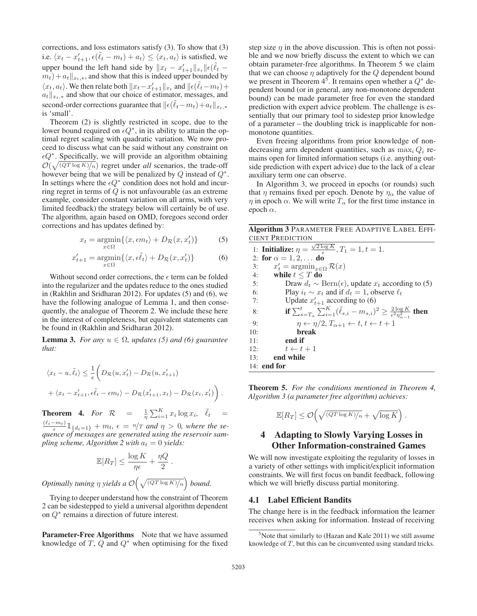corrections, and loss estimators satisfy (3). To show that (3) i.e.  $\langle x_t - x'_{t+1}, \epsilon(\tilde{\ell}_t - m_t) + a_t \rangle \leq \langle x_t, a_t \rangle$  is satisfied, we we we have the left hand side by  $\|x\|_{\infty} \leq \frac{1}{\sqrt{\ell}}$ upper bound the left hand side by  $||x_t - x'_{t+1}||_{x_t} ||\epsilon(\tilde{\ell}_t - m_t) + a_t||_{x_t}$  and show that this is indeed upper bounded by  $m_t$ ) +  $a_t$  || $x_t$ ,∗, and show that this is indeed upper bounded by  $\langle x_t, a_t \rangle$ . We then relate both  $||x_t - x'_{t+1}||_{x_t}$  and  $||\epsilon(\tilde{\ell}_t - m_t) + \alpha_t||_{x_t}$  and show that our choice of estimator messages and  $a_t||_{x_t,*}$  and show that our choice of estimator, messages, and second-order corrections guarantee that  $\|\epsilon(\tilde{\ell}_t - m_t) + a_t\|_{x_t,*}$ <br>is 'small' is 'small'.

Theorem (2) is slightly restricted in scope, due to the lower bound required on  $\epsilon Q^*$ , in its ability to attain the optimal regret scaling with quadratic variation. We now proceed to discuss what can be said without any constraint on  $\epsilon Q^*$ . Specifically, we will provide an algorithm obtaining  $\mathcal{O}(\sqrt{(QT \log K)/n})$  regret under *all* scenarios, the trade-off however being that we will be penalized by Q instead of  $O^*$ however being that we will be penalized by Q instead of Q∗. In settings where the  $\epsilon Q^*$  condition does not hold and incurring regret in terms of  $Q$  is not unfavourable (as an extreme example, consider constant variation on all arms, with very limited feedback) the strategy below will certainly be of use. The algorithm, again based on OMD, foregoes second order corrections and has updates defined by:

$$
x_t = \underset{x \in \Omega}{\operatorname{argmin}} \{ \langle x, \epsilon m_t \rangle + D_{\mathcal{R}}(x, x'_t) \} \tag{5}
$$

$$
x'_{t+1} = \underset{x \in \Omega}{\operatorname{argmin}} \{ \langle x, \epsilon \tilde{\ell}_t \rangle + D_{\mathcal{R}}(x, x'_t) \} \tag{6}
$$

Without second order corrections, the  $\epsilon$  term can be folded into the regularizer and the updates reduce to the ones studied in (Rakhlin and Sridharan 2012). For updates (5) and (6), we have the following analogue of Lemma 1, and then consequently, the analogue of Theorem 2. We include these here in the interest of completeness, but equivalent statements can be found in (Rakhlin and Sridharan 2012).

**Lemma 3.** *For any*  $u \in \Omega$ , *updates* (5) *and* (6) *guarantee that:*

$$
\langle x_t - u, \tilde{\ell}_t \rangle \leq \frac{1}{\epsilon} \Big( D_{\mathcal{R}}(u, x'_t) - D_{\mathcal{R}}(u, x'_{t+1}) + \langle x_t - x'_{t+1}, \epsilon \tilde{\ell}_t - \epsilon m_t \rangle - D_{\mathcal{R}}(x'_{t+1}, x_t) - D_{\mathcal{R}}(x_t, x'_t) \Big) .
$$

**Theorem 4.** For  $\mathcal{R} = \frac{1}{\eta} \sum_{i=1}^{K} x_i \log x_i$ ,  $\tilde{\ell}_t = (\ell_1 - m_1)$  $\frac{(\ell_t - m_t)}{\epsilon} \mathbb{1}_{\{d_t = 1\}} + m_t$ ,  $\epsilon = n/T$  and  $\eta > 0$ , where the se-<br>quence of messages are generated using the reservoir sam*quence of messages are generated using the reservoir sampling scheme, Algorithm 2 with*  $a_t = 0$  *yields:* 

$$
\mathbb{E}[R_T] \le \frac{\log K}{\eta \epsilon} + \frac{\eta Q}{2}.
$$

*Optimally tuning*  $\eta$  *yields a*  $\mathcal{O}\left(\sqrt{\frac{(QT \log K)}{n}}\right)$  bound.

Trying to deeper understand how the constraint of Theorem 2 can be sidestepped to yield a universal algorithm dependent on Q<sup>∗</sup> remains a direction of future interest.

Parameter-Free Algorithms Note that we have assumed knowledge of  $T$ ,  $Q$  and  $Q^*$  when optimising for the fixed

step size  $\eta$  in the above discussion. This is often not possible and we now briefly discuss the extent to which we can obtain parameter-free algorithms. In Theorem 5 we claim that we can choose  $\eta$  adaptively for the  $Q$  dependent bound we present in Theorem  $4^5$ . It remains open whether a  $Q^*$  dependent bound (or in general, any non-monotone dependent bound) can be made parameter free for even the standard prediction with expert advice problem. The challenge is essentially that our primary tool to sidestep prior knowledge of a parameter – the doubling trick is inapplicable for nonmonotone quantities.

Even freeing algorithms from prior knowledge of nondecreasing arm dependent quantities, such as  $\max_i Q_i$  remains open for limited information setups (i.e. anything outside prediction with expert advice) due to the lack of a clear auxiliary term one can observe.

In Algorithm 3, we proceed in epochs (or rounds) such that  $\eta$  remains fixed per epoch. Denote by  $\eta_{\alpha}$  the value of  $\eta$  in epoch  $\alpha$ . We will write  $T_{\alpha}$  for the first time instance in epoch  $α$ .

Algorithm 3 PARAMETER FREE ADAPTIVE LABEL EFFI-CIENT PREDICTION

|     | 1: <b>Initialize:</b> $\eta = \frac{\sqrt{2 \log K}}{6}, T_1 = 1, t = 1.$                                                    |
|-----|------------------------------------------------------------------------------------------------------------------------------|
|     | 2: for $\alpha = 1, 2, $ do                                                                                                  |
| 3:  | $x'_t = \operatorname{argmin}_{x \in \Omega} \mathcal{R}(x)$                                                                 |
| 4:  | while $t \leq T$ do                                                                                                          |
| 5:  | Draw $d_t \sim \text{Bern}(\epsilon)$ , update $x_t$ according to (5)                                                        |
| 6:  | Play $i_t \sim x_t$ and if $d_t = 1$ , observe $\ell_t$                                                                      |
| 7:  | Update $x'_{t+1}$ according to (6)                                                                                           |
| 8:  | if $\sum_{s=T_{\alpha}}^{t} \sum_{i=1}^{K} (\tilde{\ell}_{s,i} - m_{s,i})^2 \geq \frac{2 \log K}{\epsilon^2 n_{s,i}^2}$ then |
| 9:  | $\eta \leftarrow \eta/2, T_{\alpha+1} \leftarrow t, t \leftarrow t+1$                                                        |
| 10: | break                                                                                                                        |
| 11: | end if                                                                                                                       |
| 12: | $t \leftarrow t + 1$                                                                                                         |
| 13: | end while                                                                                                                    |
|     | 14: end for                                                                                                                  |

Theorem 5. *For the conditions mentioned in Theorem 4, Algorithm 3 (a parameter free algorithm) achieves:*

$$
\mathbb{E}[R_T] \leq \mathcal{O}\Big(\sqrt{(QT\log K)/n} + \sqrt{\log K}\Big)
$$

.

## 4 Adapting to Slowly Varying Losses in Other Information-constrained Games

We will now investigate exploiting the regularity of losses in a variety of other settings with implicit/explicit information constraints. We will first focus on bandit feedback, following which we will briefly discuss partial monitoring.

#### 4.1 Label Efficient Bandits

The change here is in the feedback information the learner receives when asking for information. Instead of receiving

<sup>&</sup>lt;sup>5</sup>Note that similarly to (Hazan and Kale 2011) we still assume knowledge of T, but this can be circumvented using standard tricks.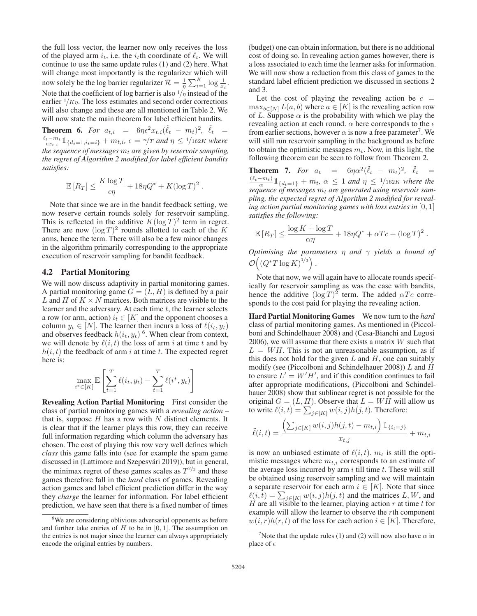the full loss vector, the learner now only receives the loss of the played arm  $i_t$ , i.e. the  $i_t$ th coordinate of  $\ell_t$ . We will continue to use the same update rules (1) and (2) here. What will change most importantly is the regularizer which will now solely be the log barrier regularizer  $\mathcal{R} = \frac{1}{\eta} \sum_{i=1}^{K} \log \frac{1}{x_i}$ . Note that the coefficient of log barrier is also  $1/n$  instead of the earlier  $\frac{1}{K\eta}$ . The loss estimates and second order corrections will also change and these are all mentioned in Table 2. We will now state the main theorem for label efficient bandits.

**Theorem 6.** For  $a_{t,i} = 6\eta \epsilon^2 x_{t,i} (\tilde{\ell}_t - m_t)^2$ ,  $\tilde{\ell}_t = \ell_t - m_t \mathbb{1}_{\{t\leq t\}}$  $\frac{t-m_t}{\epsilon x_{t,i}} 1\!\!1_{\{d_t=1,i_t=i\}} + m_{t,i}, \epsilon = n/T$  and  $\eta \leq 1/162K$  where *the sequence of messages*  $m_t$  *are given by reservoir sampling, the regret of Algorithm 2 modified for label efficient bandits satisfies:*

$$
\mathbb{E}[R_T] \le \frac{K \log T}{\epsilon \eta} + 18\eta Q^* + K(\log T)^2.
$$

Note that since we are in the bandit feedback setting, we now reserve certain rounds solely for reservoir sampling. This is reflected in the additive  $K(\log T)^2$  term in regret. There are now  $(\log T)^2$  rounds allotted to each of the K arms, hence the term. There will also be a few minor changes in the algorithm primarily corresponding to the appropriate execution of reservoir sampling for bandit feedback.

#### 4.2 Partial Monitoring

We will now discuss adaptivity in partial monitoring games. A partial monitoring game  $G = (L, H)$  is defined by a pair L and H of  $K \times N$  matrices. Both matrices are visible to the learner and the adversary. At each time  $t$ , the learner selects a row (or arm, action)  $i_t \in [K]$  and the opponent chooses a column  $y_t \in [N]$ . The learner then incurs a loss of  $\ell(i_t, y_t)$ <br>and observes feedback  $h(i_t, y_t)$  <sup>6</sup>. When clear from context and observes feedback  $h(i_t, y_t)$ <sup>6</sup>. When clear from context, we will denote by  $\ell(i, t)$  the loss of arm i at time t and by  $h(i, t)$  the feedback of arm i at time t. The expected regret  $h(i, t)$  the feedback of arm i at time t. The expected regret here is:

$$
\max_{i^* \in [K]} \mathbb{E} \left[ \sum_{t=1}^T \ell(i_t, y_t) - \sum_{t=1}^T \ell(i^*, y_t) \right]
$$

Revealing Action Partial Monitoring First consider the class of partial monitoring games with a *revealing action* – that is, suppose  $H$  has a row with  $N$  distinct elements. It is clear that if the learner plays this row, they can receive full information regarding which column the adversary has chosen. The cost of playing this row very well defines which *class* this game falls into (see for example the spam game discussed in (Lattimore and Szepesvári 2019)), but in general, the minimax regret of these games scales as  $T^{2/3}$  and these games therefore fall in the *hard* class of games. Revealing action games and label efficient prediction differ in the way they *charge* the learner for information. For label efficient prediction, we have seen that there is a fixed number of times

(budget) one can obtain information, but there is no additional cost of doing so. In revealing action games however, there is a loss associated to each time the learner asks for information. We will now show a reduction from this class of games to the standard label efficient prediction we discussed in sections 2 and 3.

Let the cost of playing the revealing action be  $c =$  $\max_{b \in [N]} L(a, b)$  where  $a \in [K]$  is the revealing action row of L. Suppose  $\alpha$  is the probability with which we play the revealing action at each round.  $\alpha$  here corresponds to the  $\epsilon$ from earlier sections, however  $\alpha$  is now a free parameter<sup>7</sup>. We will still run reservoir sampling in the background as before to obtain the optimistic messages  $m_t$ . Now, in this light, the following theorem can be seen to follow from Theorem 2.

**Theorem 7.** For  $a_t = 6\eta \alpha^2 (\tilde{\ell}_t - m_t)^2$ ,  $\tilde{\ell}_t$ <br> $(\ell_t - m_t)_\pi$ **Theorem** 7. For  $a_t = 6\eta \alpha^2 (l_t - m_t)^2$ ,  $l_t = \frac{(l_t - m_t)}{\alpha} 1_{\{d_t = 1\}} + m_t$ ,  $\alpha \le 1$  and  $\eta \le 1/162K$  where the<br>sequence of messages m<sub>1</sub> are generated using reservoir samsequence of messages  $m_t$  are generated using reservoir sam*pling, the expected regret of Algorithm 2 modified for revealing action partial monitoring games with loss entries in* [0, 1] *satisfies the following:*

$$
\mathbb{E}[R_T] \le \frac{\log K + \log T}{\alpha \eta} + 18\eta Q^* + \alpha T c + (\log T)^2.
$$

*Optimising the parameters* η *and* γ *yields a bound of*  $\mathcal{O}\Big(\big(Q^*T\log K\big)^{1/3}\Big)$ .

Note that now, we will again have to allocate rounds specifically for reservoir sampling as was the case with bandits, hence the additive  $(\log T)^2$  term. The added  $\alpha T c$  corresponds to the cost paid for playing the revealing action.

Hard Partial Monitoring Games We now turn to the *hard* class of partial monitoring games. As mentioned in (Piccolboni and Schindelhauer 2008) and (Cesa-Bianchi and Lugosi 2006), we will assume that there exists a matrix  $W$  such that  $L = WH$ . This is not an unreasonable assumption, as if this does not hold for the given  $L$  and  $H$ , one can suitably modify (see (Piccolboni and Schindelhauer 2008))  $L$  and  $H$ to ensure  $L' = W'H'$ , and if this condition continues to fail after appropriate modifications. (Piccolboni and Schindelafter appropriate modifications, (Piccolboni and Schindelhauer 2008) show that sublinear regret is not possible for the original  $G = (L, H)$ . Observe that  $L = WH$  will allow us to write  $\ell(i, t) = \sum_{j \in [K]} w(i, j)h(j, t)$ . Therefore:

$$
\tilde{\ell}(i,t) = \frac{\left(\sum_{j \in [K]} w(i,j)h(j,t) - m_{t,i}\right) \mathbbm{1}_{\{i_t = j\}}}{x_{t,j}} + m_{t,i}
$$

is now an unbiased estimate of  $\ell(i, t)$ .  $m_t$  is still the opti-<br>mistic messages where  $m_t$ . corresponds to an estimate of mistic messages where  $m_{t,i}$  corresponds to an estimate of the average loss incurred by arm  $i$  till time  $t$ . These will still be obtained using reservoir sampling and we will maintain a separate reservoir for each arm  $i \in [K]$ . Note that since  $\ell(i, t) = \sum_{j \in [K]} w(i, j)h(j, t)$  and the matrices L, W, and H are all visible to the learner playing action r at time t for H are all visible to the learner, playing action r at time t for example will allow the learner to observe the rth component  $w(i, r)h(r, t)$  of the loss for each action  $i \in [K]$ . Therefore,

<sup>&</sup>lt;sup>6</sup>We are considering oblivious adversarial opponents as before and further take entries of  $H$  to be in [0, 1]. The assumption on the entries is not major since the learner can always appropriately encode the original entries by numbers.

<sup>&</sup>lt;sup>7</sup>Note that the update rules (1) and (2) will now also have  $\alpha$  in place of  $\epsilon$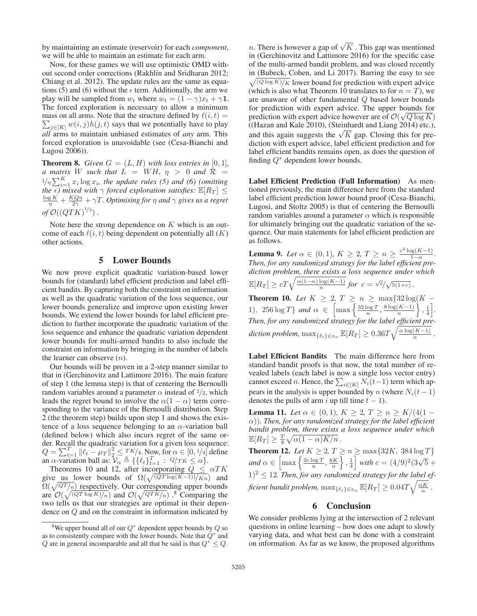by maintaining an estimate (reservoir) for each *component*, we will be able to maintain an estimate for each arm.

Now, for these games we will use optimistic OMD without second order corrections (Rakhlin and Sridharan 2012; Chiang et al. 2012). The update rules are the same as equations (5) and (6) without the  $\epsilon$  term. Additionally, the arm we play will be sampled from  $w_t$  where  $w_t = (1 - \gamma)x_t + \gamma \mathbf{1}$ . The forced exploration is necessary to allow a minimum mass on all arms. Note that the structure defined by  $\ell(i, t) = \sum_{k=1}^{\infty} \frac{w(i, j)h(j, t)}{k}$  says that we potentially have to play  $\sum_{j \in [K]} w(i, j)h(j, t)$  says that we potentially have to play all arms to maintain unbiased estimates of any arm. This *all* arms to maintain unbiased estimates of *any* arm. This forced exploration is unavoidable (see (Cesa-Bianchi and Lugosi 2006)).

**Theorem 8.** *Given*  $G = (L, H)$  *with loss entries in* [0, 1]*, a matrix W such that*  $L = WH$ ,  $\eta > 0$  *and*  $\mathcal{R} =$ *a* matrix *W* such that  $\overline{L} = W H$ ,  $\eta > 0$  and  $\overline{\mathcal{R}} = 1/\eta \sum_{i=1}^{K} x_i \log x_i$ , the update rules (5) and (6) (omitting the  $\epsilon$ ) mixed with  $\gamma$  forced exploration satisfies:  $\mathbb{E}[R_T] \leq$ *the*  $\epsilon$ *)* mixed with  $\gamma$  *forced exploration satisfies:*  $\mathbb{E}[R_T] \le \frac{\log K}{\eta} + \frac{KQ\eta}{2\gamma} + \gamma T$ *. Optimising for*  $\eta$  *and*  $\gamma$  *gives us a regret*  $of$   $\mathcal{O}((QTK)^{1/3})$ .

Note here the strong dependence on  $K$  which is an outcome of each  $\ell(i, t)$  being dependent on potentially all  $(K)$  other actions other actions.

#### 5 Lower Bounds

We now prove explicit quadratic variation-based lower bounds for (standard) label efficient prediction and label efficient bandits. By capturing both the constraint on information as well as the quadratic variation of the loss sequence, our lower bounds generalize and improve upon existing lower bounds. We extend the lower bounds for label efficient prediction to further incorporate the quadratic variation of the loss sequence and enhance the quadratic variation dependent lower bounds for multi-armed bandits to also include the constraint on information by bringing in the number of labels the learner can observe  $(n)$ .

Our bounds will be proven in a 2-step manner similar to that in (Gerchinovitz and Lattimore 2016). The main feature of step 1 (the lemma step) is that of centering the Bernoulli random variables around a parameter  $\alpha$  instead of  $\frac{1}{2}$ , which leads the regret bound to involve the  $\alpha(1-\alpha)$  term corresponding to the variance of the Bernoulli distribution. Step 2 (the theorem step) builds upon step 1 and shows the existence of a loss sequence belonging to an  $\alpha$ -variation ball (defined below) which also incurs regret of the same order. Recall the quadratic variation for a given loss sequence:<br>  $Q = \sum_{t=1}^{T} ||\ell_t - \mu_T||_2^2 \leq TK/4$ . Now, for  $\alpha \in [0, 1/4]$  define<br>
an  $\alpha$ -variation ball as:  $\mathcal{V}_{\alpha} \triangleq \{ \{\ell_t\}_{t=1}^{T} : Q/TK \leq \alpha \}$ .<br>
Theorems 10 and 12,

give us lower bounds of  $\Omega(\sqrt{(QT \log(K-1))/Kn})$  and  $\Omega(\sqrt{QT/n})$  respectively. Our corresponding upper bounds are  $\mathcal{O}(\sqrt{(QT \log K)/n})$  and  $\mathcal{O}(\sqrt{QTK/n})$ .<sup>8</sup> Comparing the two tells us that our strategies are optimal in their denentwo tells us that our strategies are optimal in their dependence on Q and on the constraint in information indicated by

*n*. There is however a gap of  $\sqrt{K}$  . This gap was mentioned in (Gerchinovitz and Lattimore 2016) for the specific case of the multi-armed bandit problem, and was closed recently in (Bubeck, Cohen, and Li 2017). Barring the easy to see  $\sqrt{\frac{(Q \log K)}{K}}$  lower bound for prediction with expert advice (which is also what Theorem 10 translates to for  $n = T$ ), we are unaware of other fundamental Q based lower bounds for prediction with expert advice. The upper bounds for for prediction with expert advice. The upper bounds for<br>prediction with expert advice however are of  $\mathcal{O}(\sqrt{Q \log K})$ <br>((Hazan and Kale 2010). (Steinbardt and Liang 2014) etc.) ((Hazan and Kale 2010), (Steinhardt and Liang 2014) etc.), ((riazan and Nate 2010), (Steffinand and Liang 2014) etc.),<br>and this again suggests the  $\sqrt{K}$  gap. Closing this for prediction with expert advice, label efficient prediction and for label efficient bandits remains open, as does the question of finding  $Q^*$  dependent lower bounds.

Label Efficient Prediction (Full Information) As mentioned previously, the main difference here from the standard label efficient prediction lower bound proof (Cesa-Bianchi, Lugosi, and Stoltz 2005) is that of centering the Bernoulli random variables around a parameter  $\alpha$  which is responsible for ultimately bringing out the quadratic variation of the sequence. Our main statements for label efficient prediction are as follows.

**Lemma 9.** *Let*  $\alpha \in (0,1)$ ,  $K \geq 2$ ,  $T \geq n \geq \frac{c^2 \log(K-1)}{1-\alpha}$ .<br>*Then, for any randomized strategy for the label efficient prediction problem, there exists a loss sequence under which*  $\mathbb{E}[R_T] \ge cT \sqrt{\frac{\alpha(1-\alpha)\log(K-1)}{n}}$  for  $c = \sqrt{\frac{e}{\sqrt{5(1+e)}}}$ . **Theorem 10.** Let  $K \geq 2$ ,  $T \geq n \geq \max\{32\log(K - \frac{1}{2})\}$ 1), 256 log T } and  $\alpha \in \left[\max\left\{\frac{32\log T}{n}, \frac{8\log(K-1)}{n}\right\}, \frac{1}{4}\right]$  *. Then, for any randomized strategy for the label efficient pre*diction problem,  $\max_{\{\ell_t\}\in v_\alpha} \mathbb{E}[R_T] \geq 0.36T \sqrt{\frac{\alpha \log(K-1)}{n}}$ .

Label Efficient Bandits The main difference here from standard bandit proofs is that now, the total number of revealed labels (each label is now a single loss vector entry) cannot exceed *n*. Hence, the  $\sum_{i \in [K]} N_i(t-1)$  term which appears in the analysis is upper bounded by a (where  $N(t-1)$ ) pears in the analysis is upper bounded by n (where  $N_i(t-1)$ ) denotes the pulls of arm i up till time  $t - 1$ ).

**Lemma 11.** *Let*  $\alpha \in (0,1)$ *,*  $K > 2$ *,*  $T > n > K/(4(1$ <sup>α</sup>))*. Then, for any randomized strategy for the label efficient bandit problem, there exists a loss sequence under which*  $\mathbb{E}[R_T] \geq \frac{T}{8} \sqrt{\alpha(1-\alpha)K/n}$ .

**Theorem 12.** *Let*  $K \ge 2$ ,  $T \ge n \ge \max\{32K, 384 \log T\}$ <br> *and*  $\alpha \in \left[\max\left\{\frac{2c \log T}{n}, \frac{8K}{n}\right\}, \frac{1}{4}\right]$  *with*  $c = (4/9)^2 (3\sqrt{5} +$  $\int$  with  $c = (4/9)^2(3\sqrt{5} +$ 1)<sup>2</sup>  $\leq$  12*. Then, for any randomized strategy for the label efficient bandit problem,*  $\max_{\{\ell_t\}\in v_\alpha} \mathbb{E}[R_T] \geq 0.04T\sqrt{\frac{\alpha K}{n}}$ .

# 6 Conclusion

We consider problems lying at the intersection of 2 relevant questions in online learning – how does one adapt to slowly varying data, and what best can be done with a constraint on information. As far as we know, the proposed algorithms

<sup>&</sup>lt;sup>8</sup>We upper bound all of our  $Q^*$  dependent upper bounds by  $Q$  so as to consistently compare with the lower bounds. Note that  $Q^*$  and Q are in general incomparable and all that be said is that  $Q^* \leq Q$ .